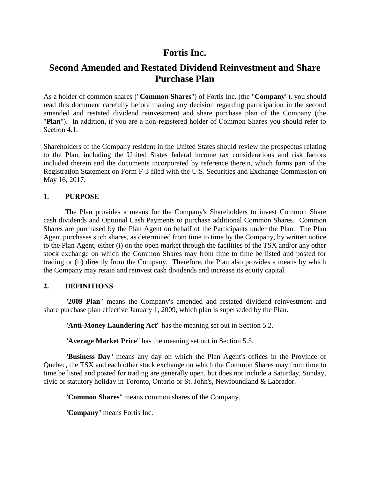# **Fortis Inc.**

# **Second Amended and Restated Dividend Reinvestment and Share Purchase Plan**

As a holder of common shares ("**Common Shares**") of Fortis Inc. (the "**Company**"), you should read this document carefully before making any decision regarding participation in the second amended and restated dividend reinvestment and share purchase plan of the Company (the "**Plan**"). In addition, if you are a non-registered holder of Common Shares you should refer to Section 4.1.

Shareholders of the Company resident in the United States should review the prospectus relating to the Plan, including the United States federal income tax considerations and risk factors included therein and the documents incorporated by reference therein, which forms part of the Registration Statement on Form F-3 filed with the U.S. Securities and Exchange Commission on May 16, 2017.

## **1. PURPOSE**

The Plan provides a means for the Company's Shareholders to invest Common Share cash dividends and Optional Cash Payments to purchase additional Common Shares. Common Shares are purchased by the Plan Agent on behalf of the Participants under the Plan. The Plan Agent purchases such shares, as determined from time to time by the Company, by written notice to the Plan Agent, either (i) on the open market through the facilities of the TSX and/or any other stock exchange on which the Common Shares may from time to time be listed and posted for trading or (ii) directly from the Company. Therefore, the Plan also provides a means by which the Company may retain and reinvest cash dividends and increase its equity capital.

## **2. DEFINITIONS**

"**2009 Plan**" means the Company's amended and restated dividend reinvestment and share purchase plan effective January 1, 2009, which plan is superseded by the Plan.

"**Anti-Money Laundering Act**" has the meaning set out in Section [5.2.](#page-5-0)

"**Average Market Price**" has the meaning set out in Section [5.5.](#page-6-0)

"**Business Day**" means any day on which the Plan Agent's offices in the Province of Quebec, the TSX and each other stock exchange on which the Common Shares may from time to time be listed and posted for trading are generally open, but does not include a Saturday, Sunday, civic or statutory holiday in Toronto, Ontario or St. John's, Newfoundland & Labrador.

"**Common Shares**" means common shares of the Company.

"**Company**" means Fortis Inc.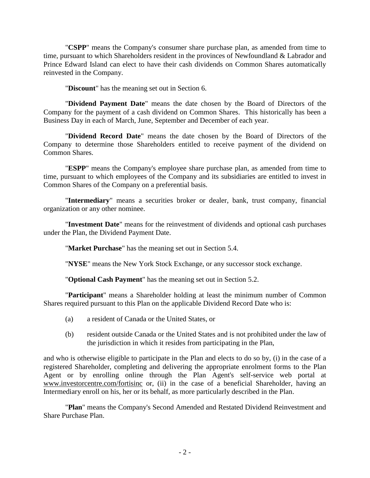"**CSPP**" means the Company's consumer share purchase plan, as amended from time to time, pursuant to which Shareholders resident in the provinces of Newfoundland & Labrador and Prince Edward Island can elect to have their cash dividends on Common Shares automatically reinvested in the Company.

"**Discount**" has the meaning set out in Section [6.](#page-7-0)

"**Dividend Payment Date**" means the date chosen by the Board of Directors of the Company for the payment of a cash dividend on Common Shares. This historically has been a Business Day in each of March, June, September and December of each year.

"**Dividend Record Date**" means the date chosen by the Board of Directors of the Company to determine those Shareholders entitled to receive payment of the dividend on Common Shares.

"**ESPP**" means the Company's employee share purchase plan, as amended from time to time, pursuant to which employees of the Company and its subsidiaries are entitled to invest in Common Shares of the Company on a preferential basis.

"**Intermediary**" means a securities broker or dealer, bank, trust company, financial organization or any other nominee.

"**Investment Date**" means for the reinvestment of dividends and optional cash purchases under the Plan, the Dividend Payment Date.

"**Market Purchase**" has the meaning set out in Section [5.4.](#page-6-1)

"**NYSE**" means the New York Stock Exchange, or any successor stock exchange.

"**Optional Cash Payment**" has the meaning set out in Section [5.2.](#page-5-0)

"**Participant**" means a Shareholder holding at least the minimum number of Common Shares required pursuant to this Plan on the applicable Dividend Record Date who is:

- (a) a resident of Canada or the United States, or
- (b) resident outside Canada or the United States and is not prohibited under the law of the jurisdiction in which it resides from participating in the Plan,

and who is otherwise eligible to participate in the Plan and elects to do so by, (i) in the case of a registered Shareholder, completing and delivering the appropriate enrolment forms to the Plan Agent or by enrolling online through the Plan Agent's self-service web portal at www.investorcentre.com/fortisinc or, (ii) in the case of a beneficial Shareholder, having an Intermediary enroll on his, her or its behalf, as more particularly described in the Plan.

"**Plan**" means the Company's Second Amended and Restated Dividend Reinvestment and Share Purchase Plan.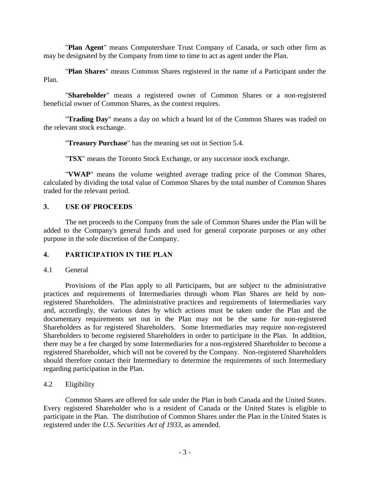"**Plan Agent**" means Computershare Trust Company of Canada, or such other firm as may be designated by the Company from time to time to act as agent under the Plan.

"**Plan Shares**" means Common Shares registered in the name of a Participant under the Plan.

"**Shareholder**" means a registered owner of Common Shares or a non-registered beneficial owner of Common Shares, as the context requires.

"**Trading Day**" means a day on which a board lot of the Common Shares was traded on the relevant stock exchange.

"**Treasury Purchase**" has the meaning set out in Section [5.4.](#page-6-1)

"**TSX**" means the Toronto Stock Exchange, or any successor stock exchange.

"**VWAP**" means the volume weighted average trading price of the Common Shares, calculated by dividing the total value of Common Shares by the total number of Common Shares traded for the relevant period.

## **3. USE OF PROCEEDS**

The net proceeds to the Company from the sale of Common Shares under the Plan will be added to the Company's general funds and used for general corporate purposes or any other purpose in the sole discretion of the Company.

## **4. PARTICIPATION IN THE PLAN**

## <span id="page-2-0"></span>4.1 General

Provisions of the Plan apply to all Participants, but are subject to the administrative practices and requirements of Intermediaries through whom Plan Shares are held by nonregistered Shareholders. The administrative practices and requirements of Intermediaries vary and, accordingly, the various dates by which actions must be taken under the Plan and the documentary requirements set out in the Plan may not be the same for non-registered Shareholders as for registered Shareholders. Some Intermediaries may require non-registered Shareholders to become registered Shareholders in order to participate in the Plan. In addition, there may be a fee charged by some Intermediaries for a non-registered Shareholder to become a registered Shareholder, which will not be covered by the Company. Non-registered Shareholders should therefore contact their Intermediary to determine the requirements of such Intermediary regarding participation in the Plan.

## 4.2 Eligibility

Common Shares are offered for sale under the Plan in both Canada and the United States. Every registered Shareholder who is a resident of Canada or the United States is eligible to participate in the Plan. The distribution of Common Shares under the Plan in the United States is registered under the *U.S. Securities Act of 1933*, as amended.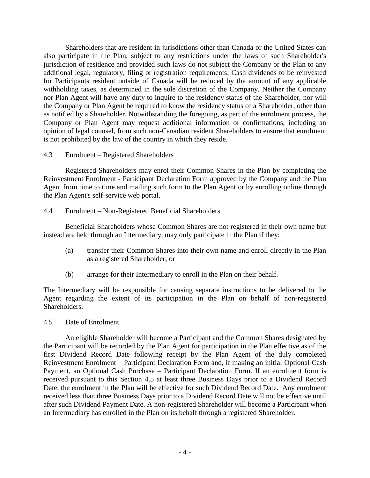Shareholders that are resident in jurisdictions other than Canada or the United States can also participate in the Plan, subject to any restrictions under the laws of such Shareholder's jurisdiction of residence and provided such laws do not subject the Company or the Plan to any additional legal, regulatory, filing or registration requirements. Cash dividends to be reinvested for Participants resident outside of Canada will be reduced by the amount of any applicable withholding taxes, as determined in the sole discretion of the Company. Neither the Company nor Plan Agent will have any duty to inquire to the residency status of the Shareholder, nor will the Company or Plan Agent be required to know the residency status of a Shareholder, other than as notified by a Shareholder. Notwithstanding the foregoing, as part of the enrolment process, the Company or Plan Agent may request additional information or confirmations, including an opinion of legal counsel, from such non-Canadian resident Shareholders to ensure that enrolment is not prohibited by the law of the country in which they reside.

4.3 Enrolment – Registered Shareholders

Registered Shareholders may enrol their Common Shares in the Plan by completing the Reinvestment Enrolment - Participant Declaration Form approved by the Company and the Plan Agent from time to time and mailing such form to the Plan Agent or by enrolling online through the Plan Agent's self-service web portal.

4.4 Enrolment – Non-Registered Beneficial Shareholders

Beneficial Shareholders whose Common Shares are not registered in their own name but instead are held through an Intermediary, may only participate in the Plan if they:

- (a) transfer their Common Shares into their own name and enroll directly in the Plan as a registered Shareholder; or
- (b) arrange for their Intermediary to enroll in the Plan on their behalf.

The Intermediary will be responsible for causing separate instructions to be delivered to the Agent regarding the extent of its participation in the Plan on behalf of non-registered Shareholders.

<span id="page-3-0"></span>4.5 Date of Enrolment

An eligible Shareholder will become a Participant and the Common Shares designated by the Participant will be recorded by the Plan Agent for participation in the Plan effective as of the first Dividend Record Date following receipt by the Plan Agent of the duly completed Reinvestment Enrolment – Participant Declaration Form and, if making an initial Optional Cash Payment, an Optional Cash Purchase – Participant Declaration Form. If an enrolment form is received pursuant to this Section [4.5](#page-3-0) at least three Business Days prior to a Dividend Record Date, the enrolment in the Plan will be effective for such Dividend Record Date. Any enrolment received less than three Business Days prior to a Dividend Record Date will not be effective until after such Dividend Payment Date. A non-registered Shareholder will become a Participant when an Intermediary has enrolled in the Plan on its behalf through a registered Shareholder.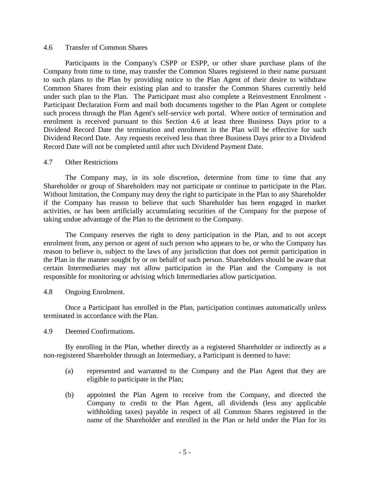#### <span id="page-4-0"></span>4.6 Transfer of Common Shares

Participants in the Company's CSPP or ESPP, or other share purchase plans of the Company from time to time, may transfer the Common Shares registered in their name pursuant to such plans to the Plan by providing notice to the Plan Agent of their desire to withdraw Common Shares from their existing plan and to transfer the Common Shares currently held under such plan to the Plan. The Participant must also complete a Reinvestment Enrolment - Participant Declaration Form and mail both documents together to the Plan Agent or complete such process through the Plan Agent's self-service web portal. Where notice of termination and enrolment is received pursuant to this Section [4.6](#page-4-0) at least three Business Days prior to a Dividend Record Date the termination and enrolment in the Plan will be effective for such Dividend Record Date. Any requests received less than three Business Days prior to a Dividend Record Date will not be completed until after such Dividend Payment Date.

#### 4.7 Other Restrictions

The Company may, in its sole discretion, determine from time to time that any Shareholder or group of Shareholders may not participate or continue to participate in the Plan. Without limitation, the Company may deny the right to participate in the Plan to any Shareholder if the Company has reason to believe that such Shareholder has been engaged in market activities, or has been artificially accumulating securities of the Company for the purpose of taking undue advantage of the Plan to the detriment to the Company.

The Company reserves the right to deny participation in the Plan, and to not accept enrolment from, any person or agent of such person who appears to be, or who the Company has reason to believe is, subject to the laws of any jurisdiction that does not permit participation in the Plan in the manner sought by or on behalf of such person. Shareholders should be aware that certain Intermediaries may not allow participation in the Plan and the Company is not responsible for monitoring or advising which Intermediaries allow participation.

#### 4.8 Ongoing Enrolment.

Once a Participant has enrolled in the Plan, participation continues automatically unless terminated in accordance with the Plan.

4.9 Deemed Confirmations.

By enrolling in the Plan, whether directly as a registered Shareholder or indirectly as a non-registered Shareholder through an Intermediary, a Participant is deemed to have:

- (a) represented and warranted to the Company and the Plan Agent that they are eligible to participate in the Plan;
- (b) appointed the Plan Agent to receive from the Company, and directed the Company to credit to the Plan Agent, all dividends (less any applicable withholding taxes) payable in respect of all Common Shares registered in the name of the Shareholder and enrolled in the Plan or held under the Plan for its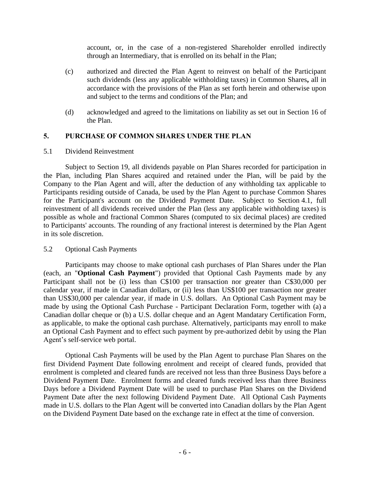account, or, in the case of a non-registered Shareholder enrolled indirectly through an Intermediary, that is enrolled on its behalf in the Plan;

- (c) authorized and directed the Plan Agent to reinvest on behalf of the Participant such dividends (less any applicable withholding taxes) in Common Shares**,** all in accordance with the provisions of the Plan as set forth herein and otherwise upon and subject to the terms and conditions of the Plan; and
- (d) acknowledged and agreed to the limitations on liability as set out in Section [16](#page-12-0) of the Plan.

## **5. PURCHASE OF COMMON SHARES UNDER THE PLAN**

#### 5.1 Dividend Reinvestment

Subject to Section [19,](#page-13-0) all dividends payable on Plan Shares recorded for participation in the Plan, including Plan Shares acquired and retained under the Plan, will be paid by the Company to the Plan Agent and will, after the deduction of any withholding tax applicable to Participants residing outside of Canada, be used by the Plan Agent to purchase Common Shares for the Participant's account on the Dividend Payment Date. Subject to Section [4.1,](#page-2-0) full reinvestment of all dividends received under the Plan (less any applicable withholding taxes) is possible as whole and fractional Common Shares (computed to six decimal places) are credited to Participants' accounts. The rounding of any fractional interest is determined by the Plan Agent in its sole discretion.

#### <span id="page-5-0"></span>5.2 Optional Cash Payments

Participants may choose to make optional cash purchases of Plan Shares under the Plan (each, an "**Optional Cash Payment**") provided that Optional Cash Payments made by any Participant shall not be (i) less than C\$100 per transaction nor greater than C\$30,000 per calendar year, if made in Canadian dollars, or (ii) less than US\$100 per transaction nor greater than US\$30,000 per calendar year, if made in U.S. dollars. An Optional Cash Payment may be made by using the Optional Cash Purchase - Participant Declaration Form, together with (a) a Canadian dollar cheque or (b) a U.S. dollar cheque and an Agent Mandatary Certification Form, as applicable, to make the optional cash purchase. Alternatively, participants may enroll to make an Optional Cash Payment and to effect such payment by pre-authorized debit by using the Plan Agent's self-service web portal.

Optional Cash Payments will be used by the Plan Agent to purchase Plan Shares on the first Dividend Payment Date following enrolment and receipt of cleared funds, provided that enrolment is completed and cleared funds are received not less than three Business Days before a Dividend Payment Date. Enrolment forms and cleared funds received less than three Business Days before a Dividend Payment Date will be used to purchase Plan Shares on the Dividend Payment Date after the next following Dividend Payment Date. All Optional Cash Payments made in U.S. dollars to the Plan Agent will be converted into Canadian dollars by the Plan Agent on the Dividend Payment Date based on the exchange rate in effect at the time of conversion.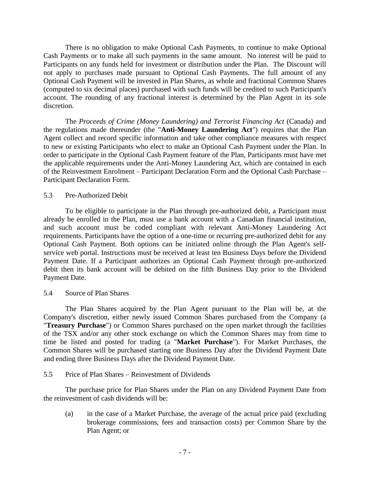There is no obligation to make Optional Cash Payments, to continue to make Optional Cash Payments or to make all such payments in the same amount. No interest will be paid to Participants on any funds held for investment or distribution under the Plan. The Discount will not apply to purchases made pursuant to Optional Cash Payments. The full amount of any Optional Cash Payment will be invested in Plan Shares, as whole and fractional Common Shares (computed to six decimal places) purchased with such funds will be credited to such Participant's account. The rounding of any fractional interest is determined by the Plan Agent in its sole discretion.

The *Proceeds of Crime (Money Laundering) and Terrorist Financing Act* (Canada) and the regulations made thereunder (the "**Anti-Money Laundering Act**") requires that the Plan Agent collect and record specific information and take other compliance measures with respect to new or existing Participants who elect to make an Optional Cash Payment under the Plan. In order to participate in the Optional Cash Payment feature of the Plan, Participants must have met the applicable requirements under the Anti-Money Laundering Act, which are contained in each of the Reinvestment Enrolment – Participant Declaration Form and the Optional Cash Purchase – Participant Declaration Form.

## 5.3 Pre-Authorized Debit

To be eligible to participate in the Plan through pre-authorized debit, a Participant must already be enrolled in the Plan, must use a bank account with a Canadian financial institution, and such account must be coded compliant with relevant Anti-Money Laundering Act requirements. Participants have the option of a one-time or recurring pre-authorized debit for any Optional Cash Payment. Both options can be initiated online through the Plan Agent's selfservice web portal. Instructions must be received at least ten Business Days before the Dividend Payment Date. If a Participant authorizes an Optional Cash Payment through pre-authorized debit then its bank account will be debited on the fifth Business Day prior to the Dividend Payment Date.

#### <span id="page-6-1"></span>5.4 Source of Plan Shares

The Plan Shares acquired by the Plan Agent pursuant to the Plan will be, at the Company's discretion, either newly issued Common Shares purchased from the Company (a "**Treasury Purchase**") or Common Shares purchased on the open market through the facilities of the TSX and/or any other stock exchange on which the Common Shares may from time to time be listed and posted for trading (a "**Market Purchase**"). For Market Purchases, the Common Shares will be purchased starting one Business Day after the Dividend Payment Date and ending three Business Days after the Dividend Payment Date.

#### <span id="page-6-0"></span>5.5 Price of Plan Shares – Reinvestment of Dividends

The purchase price for Plan Shares under the Plan on any Dividend Payment Date from the reinvestment of cash dividends will be:

(a) in the case of a Market Purchase, the average of the actual price paid (excluding brokerage commissions, fees and transaction costs) per Common Share by the Plan Agent; or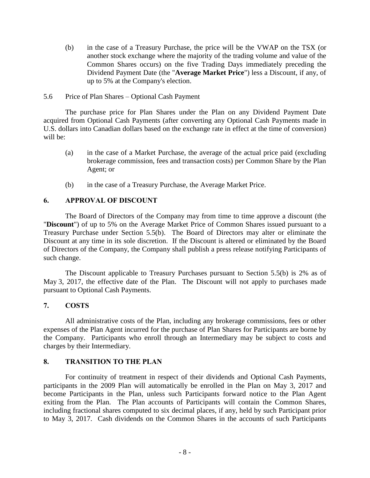- (b) in the case of a Treasury Purchase, the price will be the VWAP on the TSX (or another stock exchange where the majority of the trading volume and value of the Common Shares occurs) on the five Trading Days immediately preceding the Dividend Payment Date (the "**Average Market Price**") less a Discount, if any, of up to 5% at the Company's election.
- 5.6 Price of Plan Shares Optional Cash Payment

The purchase price for Plan Shares under the Plan on any Dividend Payment Date acquired from Optional Cash Payments (after converting any Optional Cash Payments made in U.S. dollars into Canadian dollars based on the exchange rate in effect at the time of conversion) will be:

- (a) in the case of a Market Purchase, the average of the actual price paid (excluding brokerage commission, fees and transaction costs) per Common Share by the Plan Agent; or
- (b) in the case of a Treasury Purchase, the Average Market Price.

## <span id="page-7-0"></span>**6. APPROVAL OF DISCOUNT**

The Board of Directors of the Company may from time to time approve a discount (the "**Discount**") of up to 5% on the Average Market Price of Common Shares issued pursuant to a Treasury Purchase under Section [5.5\(b\).](#page-6-0) The Board of Directors may alter or eliminate the Discount at any time in its sole discretion. If the Discount is altered or eliminated by the Board of Directors of the Company, the Company shall publish a press release notifying Participants of such change.

The Discount applicable to Treasury Purchases pursuant to Section [5.5\(b\)](#page-6-0) is 2% as of May 3, 2017, the effective date of the Plan. The Discount will not apply to purchases made pursuant to Optional Cash Payments.

## **7. COSTS**

All administrative costs of the Plan, including any brokerage commissions, fees or other expenses of the Plan Agent incurred for the purchase of Plan Shares for Participants are borne by the Company. Participants who enroll through an Intermediary may be subject to costs and charges by their Intermediary.

## **8. TRANSITION TO THE PLAN**

For continuity of treatment in respect of their dividends and Optional Cash Payments, participants in the 2009 Plan will automatically be enrolled in the Plan on May 3, 2017 and become Participants in the Plan, unless such Participants forward notice to the Plan Agent exiting from the Plan. The Plan accounts of Participants will contain the Common Shares, including fractional shares computed to six decimal places, if any, held by such Participant prior to May 3, 2017. Cash dividends on the Common Shares in the accounts of such Participants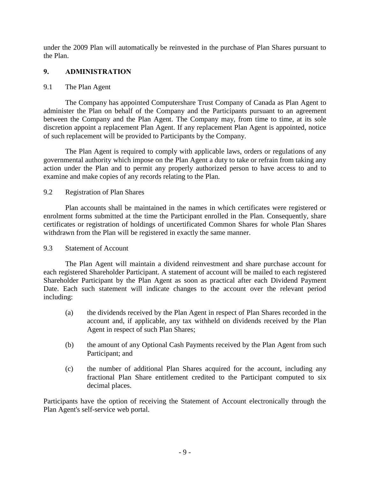under the 2009 Plan will automatically be reinvested in the purchase of Plan Shares pursuant to the Plan.

# **9. ADMINISTRATION**

## 9.1 The Plan Agent

The Company has appointed Computershare Trust Company of Canada as Plan Agent to administer the Plan on behalf of the Company and the Participants pursuant to an agreement between the Company and the Plan Agent. The Company may, from time to time, at its sole discretion appoint a replacement Plan Agent. If any replacement Plan Agent is appointed, notice of such replacement will be provided to Participants by the Company.

The Plan Agent is required to comply with applicable laws, orders or regulations of any governmental authority which impose on the Plan Agent a duty to take or refrain from taking any action under the Plan and to permit any properly authorized person to have access to and to examine and make copies of any records relating to the Plan.

## 9.2 Registration of Plan Shares

Plan accounts shall be maintained in the names in which certificates were registered or enrolment forms submitted at the time the Participant enrolled in the Plan. Consequently, share certificates or registration of holdings of uncertificated Common Shares for whole Plan Shares withdrawn from the Plan will be registered in exactly the same manner.

## 9.3 Statement of Account

The Plan Agent will maintain a dividend reinvestment and share purchase account for each registered Shareholder Participant. A statement of account will be mailed to each registered Shareholder Participant by the Plan Agent as soon as practical after each Dividend Payment Date. Each such statement will indicate changes to the account over the relevant period including:

- (a) the dividends received by the Plan Agent in respect of Plan Shares recorded in the account and, if applicable, any tax withheld on dividends received by the Plan Agent in respect of such Plan Shares;
- (b) the amount of any Optional Cash Payments received by the Plan Agent from such Participant; and
- (c) the number of additional Plan Shares acquired for the account, including any fractional Plan Share entitlement credited to the Participant computed to six decimal places.

Participants have the option of receiving the Statement of Account electronically through the Plan Agent's self-service web portal.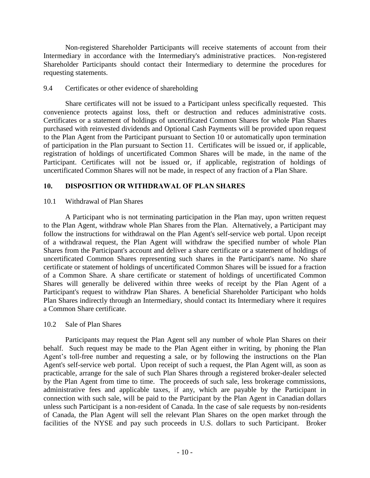Non-registered Shareholder Participants will receive statements of account from their Intermediary in accordance with the Intermediary's administrative practices. Non-registered Shareholder Participants should contact their Intermediary to determine the procedures for requesting statements.

## 9.4 Certificates or other evidence of shareholding

Share certificates will not be issued to a Participant unless specifically requested. This convenience protects against loss, theft or destruction and reduces administrative costs. Certificates or a statement of holdings of uncertificated Common Shares for whole Plan Shares purchased with reinvested dividends and Optional Cash Payments will be provided upon request to the Plan Agent from the Participant pursuant to Section [10](#page-9-0) or automatically upon termination of participation in the Plan pursuant to Section [11.](#page-10-0) Certificates will be issued or, if applicable, registration of holdings of uncertificated Common Shares will be made, in the name of the Participant. Certificates will not be issued or, if applicable, registration of holdings of uncertificated Common Shares will not be made, in respect of any fraction of a Plan Share.

## <span id="page-9-0"></span>**10. DISPOSITION OR WITHDRAWAL OF PLAN SHARES**

## 10.1 Withdrawal of Plan Shares

A Participant who is not terminating participation in the Plan may, upon written request to the Plan Agent, withdraw whole Plan Shares from the Plan. Alternatively, a Participant may follow the instructions for withdrawal on the Plan Agent's self-service web portal. Upon receipt of a withdrawal request, the Plan Agent will withdraw the specified number of whole Plan Shares from the Participant's account and deliver a share certificate or a statement of holdings of uncertificated Common Shares representing such shares in the Participant's name. No share certificate or statement of holdings of uncertificated Common Shares will be issued for a fraction of a Common Share. A share certificate or statement of holdings of uncertificated Common Shares will generally be delivered within three weeks of receipt by the Plan Agent of a Participant's request to withdraw Plan Shares. A beneficial Shareholder Participant who holds Plan Shares indirectly through an Intermediary, should contact its Intermediary where it requires a Common Share certificate.

#### 10.2 Sale of Plan Shares

Participants may request the Plan Agent sell any number of whole Plan Shares on their behalf. Such request may be made to the Plan Agent either in writing, by phoning the Plan Agent's toll-free number and requesting a sale, or by following the instructions on the Plan Agent's self-service web portal. Upon receipt of such a request, the Plan Agent will, as soon as practicable, arrange for the sale of such Plan Shares through a registered broker-dealer selected by the Plan Agent from time to time. The proceeds of such sale, less brokerage commissions, administrative fees and applicable taxes, if any, which are payable by the Participant in connection with such sale, will be paid to the Participant by the Plan Agent in Canadian dollars unless such Participant is a non-resident of Canada. In the case of sale requests by non-residents of Canada, the Plan Agent will sell the relevant Plan Shares on the open market through the facilities of the NYSE and pay such proceeds in U.S. dollars to such Participant. Broker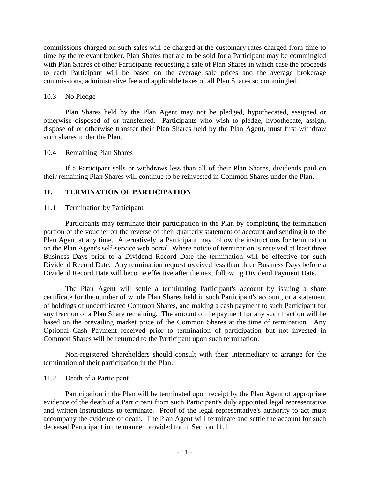commissions charged on such sales will be charged at the customary rates charged from time to time by the relevant broker. Plan Shares that are to be sold for a Participant may be commingled with Plan Shares of other Participants requesting a sale of Plan Shares in which case the proceeds to each Participant will be based on the average sale prices and the average brokerage commissions, administrative fee and applicable taxes of all Plan Shares so commingled.

#### 10.3 No Pledge

Plan Shares held by the Plan Agent may not be pledged, hypothecated, assigned or otherwise disposed of or transferred. Participants who wish to pledge, hypothecate, assign, dispose of or otherwise transfer their Plan Shares held by the Plan Agent, must first withdraw such shares under the Plan.

## 10.4 Remaining Plan Shares

If a Participant sells or withdraws less than all of their Plan Shares, dividends paid on their remaining Plan Shares will continue to be reinvested in Common Shares under the Plan.

## <span id="page-10-0"></span>**11. TERMINATION OF PARTICIPATION**

## <span id="page-10-1"></span>11.1 Termination by Participant

Participants may terminate their participation in the Plan by completing the termination portion of the voucher on the reverse of their quarterly statement of account and sending it to the Plan Agent at any time. Alternatively, a Participant may follow the instructions for termination on the Plan Agent's self-service web portal. Where notice of termination is received at least three Business Days prior to a Dividend Record Date the termination will be effective for such Dividend Record Date. Any termination request received less than three Business Days before a Dividend Record Date will become effective after the next following Dividend Payment Date.

The Plan Agent will settle a terminating Participant's account by issuing a share certificate for the number of whole Plan Shares held in such Participant's account, or a statement of holdings of uncertificated Common Shares, and making a cash payment to such Participant for any fraction of a Plan Share remaining. The amount of the payment for any such fraction will be based on the prevailing market price of the Common Shares at the time of termination. Any Optional Cash Payment received prior to termination of participation but not invested in Common Shares will be returned to the Participant upon such termination.

Non-registered Shareholders should consult with their Intermediary to arrange for the termination of their participation in the Plan.

## 11.2 Death of a Participant

Participation in the Plan will be terminated upon receipt by the Plan Agent of appropriate evidence of the death of a Participant from such Participant's duly appointed legal representative and written instructions to terminate. Proof of the legal representative's authority to act must accompany the evidence of death. The Plan Agent will terminate and settle the account for such deceased Participant in the manner provided for in Section [11.1.](#page-10-1)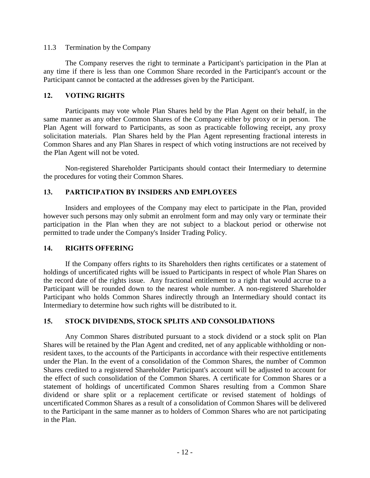#### 11.3 Termination by the Company

The Company reserves the right to terminate a Participant's participation in the Plan at any time if there is less than one Common Share recorded in the Participant's account or the Participant cannot be contacted at the addresses given by the Participant.

## **12. VOTING RIGHTS**

Participants may vote whole Plan Shares held by the Plan Agent on their behalf, in the same manner as any other Common Shares of the Company either by proxy or in person. The Plan Agent will forward to Participants, as soon as practicable following receipt, any proxy solicitation materials. Plan Shares held by the Plan Agent representing fractional interests in Common Shares and any Plan Shares in respect of which voting instructions are not received by the Plan Agent will not be voted.

Non-registered Shareholder Participants should contact their Intermediary to determine the procedures for voting their Common Shares.

## **13. PARTICIPATION BY INSIDERS AND EMPLOYEES**

Insiders and employees of the Company may elect to participate in the Plan, provided however such persons may only submit an enrolment form and may only vary or terminate their participation in the Plan when they are not subject to a blackout period or otherwise not permitted to trade under the Company's Insider Trading Policy.

#### **14. RIGHTS OFFERING**

If the Company offers rights to its Shareholders then rights certificates or a statement of holdings of uncertificated rights will be issued to Participants in respect of whole Plan Shares on the record date of the rights issue. Any fractional entitlement to a right that would accrue to a Participant will be rounded down to the nearest whole number. A non-registered Shareholder Participant who holds Common Shares indirectly through an Intermediary should contact its Intermediary to determine how such rights will be distributed to it.

## **15. STOCK DIVIDENDS, STOCK SPLITS AND CONSOLIDATIONS**

Any Common Shares distributed pursuant to a stock dividend or a stock split on Plan Shares will be retained by the Plan Agent and credited, net of any applicable withholding or nonresident taxes, to the accounts of the Participants in accordance with their respective entitlements under the Plan. In the event of a consolidation of the Common Shares, the number of Common Shares credited to a registered Shareholder Participant's account will be adjusted to account for the effect of such consolidation of the Common Shares. A certificate for Common Shares or a statement of holdings of uncertificated Common Shares resulting from a Common Share dividend or share split or a replacement certificate or revised statement of holdings of uncertificated Common Shares as a result of a consolidation of Common Shares will be delivered to the Participant in the same manner as to holders of Common Shares who are not participating in the Plan.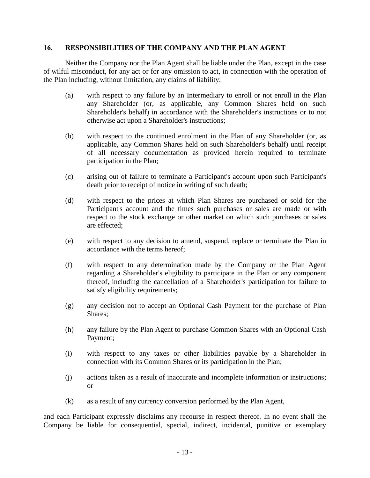#### <span id="page-12-0"></span>**16. RESPONSIBILITIES OF THE COMPANY AND THE PLAN AGENT**

Neither the Company nor the Plan Agent shall be liable under the Plan, except in the case of wilful misconduct, for any act or for any omission to act, in connection with the operation of the Plan including, without limitation, any claims of liability:

- (a) with respect to any failure by an Intermediary to enroll or not enroll in the Plan any Shareholder (or, as applicable, any Common Shares held on such Shareholder's behalf) in accordance with the Shareholder's instructions or to not otherwise act upon a Shareholder's instructions;
- (b) with respect to the continued enrolment in the Plan of any Shareholder (or, as applicable, any Common Shares held on such Shareholder's behalf) until receipt of all necessary documentation as provided herein required to terminate participation in the Plan;
- (c) arising out of failure to terminate a Participant's account upon such Participant's death prior to receipt of notice in writing of such death;
- (d) with respect to the prices at which Plan Shares are purchased or sold for the Participant's account and the times such purchases or sales are made or with respect to the stock exchange or other market on which such purchases or sales are effected;
- (e) with respect to any decision to amend, suspend, replace or terminate the Plan in accordance with the terms hereof;
- (f) with respect to any determination made by the Company or the Plan Agent regarding a Shareholder's eligibility to participate in the Plan or any component thereof, including the cancellation of a Shareholder's participation for failure to satisfy eligibility requirements;
- (g) any decision not to accept an Optional Cash Payment for the purchase of Plan Shares;
- (h) any failure by the Plan Agent to purchase Common Shares with an Optional Cash Payment;
- (i) with respect to any taxes or other liabilities payable by a Shareholder in connection with its Common Shares or its participation in the Plan;
- (j) actions taken as a result of inaccurate and incomplete information or instructions; or
- (k) as a result of any currency conversion performed by the Plan Agent,

and each Participant expressly disclaims any recourse in respect thereof. In no event shall the Company be liable for consequential, special, indirect, incidental, punitive or exemplary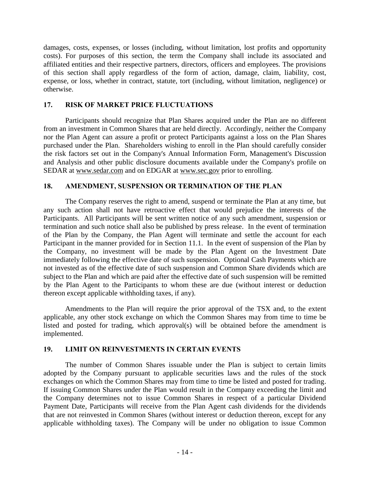damages, costs, expenses, or losses (including, without limitation, lost profits and opportunity costs). For purposes of this section, the term the Company shall include its associated and affiliated entities and their respective partners, directors, officers and employees. The provisions of this section shall apply regardless of the form of action, damage, claim, liability, cost, expense, or loss, whether in contract, statute, tort (including, without limitation, negligence) or otherwise.

# **17. RISK OF MARKET PRICE FLUCTUATIONS**

Participants should recognize that Plan Shares acquired under the Plan are no different from an investment in Common Shares that are held directly. Accordingly, neither the Company nor the Plan Agent can assure a profit or protect Participants against a loss on the Plan Shares purchased under the Plan. Shareholders wishing to enroll in the Plan should carefully consider the risk factors set out in the Company's Annual Information Form, Management's Discussion and Analysis and other public disclosure documents available under the Company's profile on SEDAR at www.sedar.com and on EDGAR at www.sec.gov prior to enrolling.

# **18. AMENDMENT, SUSPENSION OR TERMINATION OF THE PLAN**

The Company reserves the right to amend, suspend or terminate the Plan at any time, but any such action shall not have retroactive effect that would prejudice the interests of the Participants. All Participants will be sent written notice of any such amendment, suspension or termination and such notice shall also be published by press release. In the event of termination of the Plan by the Company, the Plan Agent will terminate and settle the account for each Participant in the manner provided for in Section [11.1.](#page-10-1) In the event of suspension of the Plan by the Company, no investment will be made by the Plan Agent on the Investment Date immediately following the effective date of such suspension. Optional Cash Payments which are not invested as of the effective date of such suspension and Common Share dividends which are subject to the Plan and which are paid after the effective date of such suspension will be remitted by the Plan Agent to the Participants to whom these are due (without interest or deduction thereon except applicable withholding taxes, if any).

Amendments to the Plan will require the prior approval of the TSX and, to the extent applicable, any other stock exchange on which the Common Shares may from time to time be listed and posted for trading, which approval(s) will be obtained before the amendment is implemented.

## <span id="page-13-0"></span>**19. LIMIT ON REINVESTMENTS IN CERTAIN EVENTS**

The number of Common Shares issuable under the Plan is subject to certain limits adopted by the Company pursuant to applicable securities laws and the rules of the stock exchanges on which the Common Shares may from time to time be listed and posted for trading. If issuing Common Shares under the Plan would result in the Company exceeding the limit and the Company determines not to issue Common Shares in respect of a particular Dividend Payment Date, Participants will receive from the Plan Agent cash dividends for the dividends that are not reinvested in Common Shares (without interest or deduction thereon, except for any applicable withholding taxes). The Company will be under no obligation to issue Common